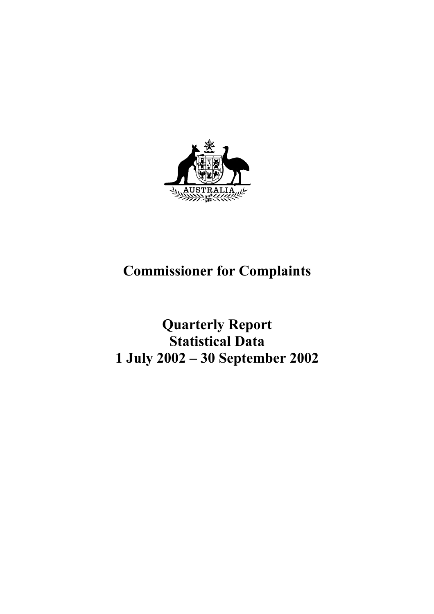

# **Commissioner for Complaints**

**Quarterly Report Statistical Data 1 July 2002 – 30 September 2002**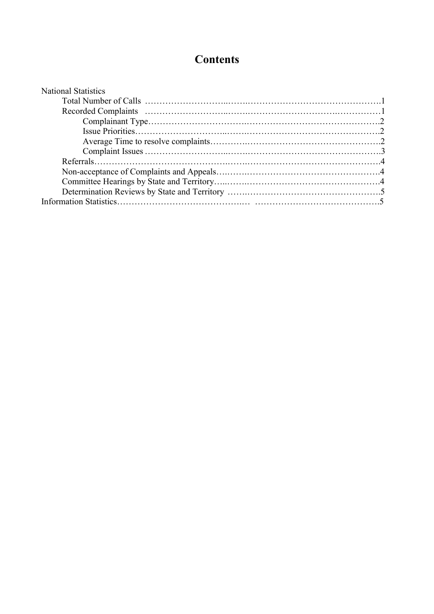# **Contents**

| <b>National Statistics</b> |  |
|----------------------------|--|
|                            |  |
|                            |  |
|                            |  |
|                            |  |
|                            |  |
|                            |  |
|                            |  |
|                            |  |
|                            |  |
|                            |  |
|                            |  |
|                            |  |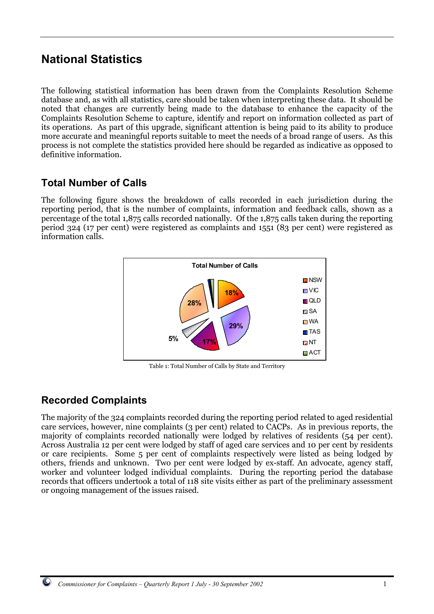# **National Statistics**

The following statistical information has been drawn from the Complaints Resolution Scheme database and, as with all statistics, care should be taken when interpreting these data. It should be noted that changes are currently being made to the database to enhance the capacity of the Complaints Resolution Scheme to capture, identify and report on information collected as part of its operations. As part of this upgrade, significant attention is being paid to its ability to produce more accurate and meaningful reports suitable to meet the needs of a broad range of users. As this process is not complete the statistics provided here should be regarded as indicative as opposed to definitive information.

# **Total Number of Calls**

The following figure shows the breakdown of calls recorded in each jurisdiction during the reporting period, that is the number of complaints, information and feedback calls, shown as a percentage of the total 1,875 calls recorded nationally. Of the 1,875 calls taken during the reporting period 324 (17 per cent) were registered as complaints and 1551 (83 per cent) were registered as information calls.



Table 1: Total Number of Calls by State and Territory

# **Recorded Complaints**

The majority of the 324 complaints recorded during the reporting period related to aged residential care services, however, nine complaints (3 per cent) related to CACPs. As in previous reports, the majority of complaints recorded nationally were lodged by relatives of residents (54 per cent). Across Australia 12 per cent were lodged by staff of aged care services and 10 per cent by residents or care recipients. Some 5 per cent of complaints respectively were listed as being lodged by others, friends and unknown. Two per cent were lodged by ex-staff. An advocate, agency staff, worker and volunteer lodged individual complaints. During the reporting period the database records that officers undertook a total of 118 site visits either as part of the preliminary assessment or ongoing management of the issues raised.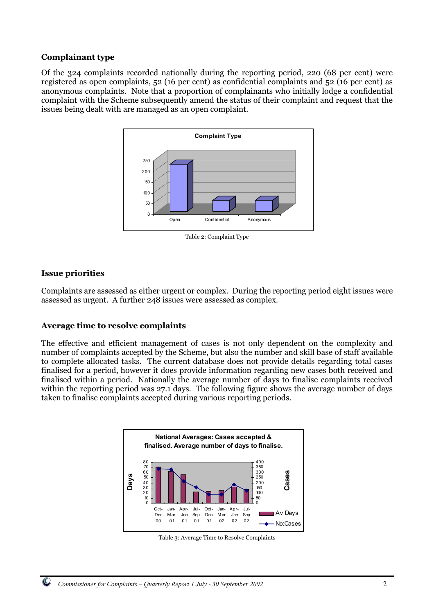#### **Complainant type**

Of the 324 complaints recorded nationally during the reporting period, 220 (68 per cent) were registered as open complaints, 52 (16 per cent) as confidential complaints and 52 (16 per cent) as anonymous complaints. Note that a proportion of complainants who initially lodge a confidential complaint with the Scheme subsequently amend the status of their complaint and request that the issues being dealt with are managed as an open complaint.



**Issue priorities**

Complaints are assessed as either urgent or complex. During the reporting period eight issues were assessed as urgent. A further 248 issues were assessed as complex.

#### **Average time to resolve complaints**

The effective and efficient management of cases is not only dependent on the complexity and number of complaints accepted by the Scheme, but also the number and skill base of staff available to complete allocated tasks. The current database does not provide details regarding total cases finalised for a period, however it does provide information regarding new cases both received and finalised within a period. Nationally the average number of days to finalise complaints received within the reporting period was 27.1 days. The following figure shows the average number of days taken to finalise complaints accepted during various reporting periods.



Table 3: Average Time to Resolve Complaints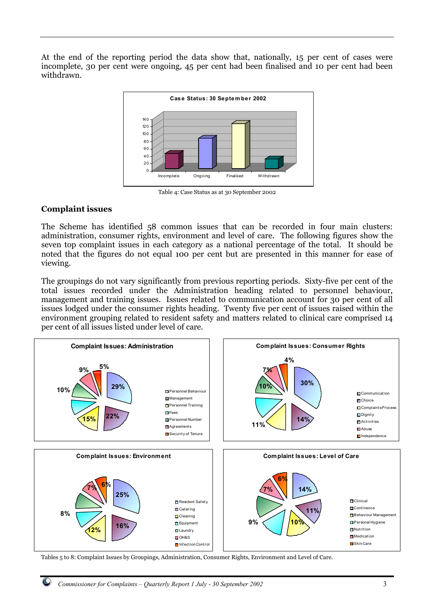At the end of the reporting period the data show that, nationally, 15 per cent of cases were incomplete, 30 per cent were ongoing, 45 per cent had been finalised and 10 per cent had been withdrawn.



Table 4: Case Status as at 30 September 2002

#### **Complaint issues**

The Scheme has identified 58 common issues that can be recorded in four main clusters: administration, consumer rights, environment and level of care. The following figures show the seven top complaint issues in each category as a national percentage of the total. It should be noted that the figures do not equal 100 per cent but are presented in this manner for ease of viewing.

The groupings do not vary significantly from previous reporting periods. Sixty-five per cent of the total issues recorded under the Administration heading related to personnel behaviour, management and training issues. Issues related to communication account for 30 per cent of all issues lodged under the consumer rights heading. Twenty five per cent of issues raised within the environment grouping related to resident safety and matters related to clinical care comprised 14 per cent of all issues listed under level of care.



Tables 5 to 8: Complaint Issues by Groupings, Administration, Consumer Rights, Environment and Level of Care.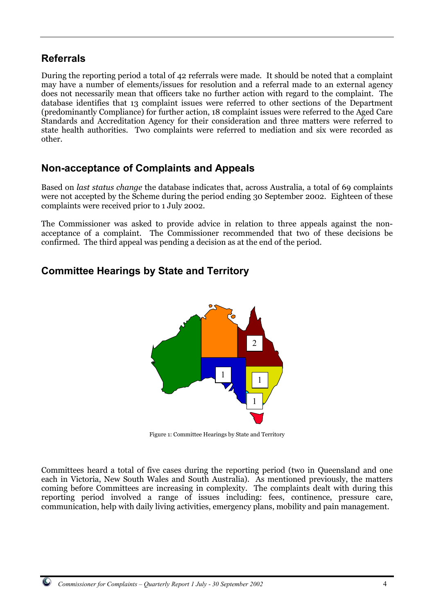### **Referrals**

During the reporting period a total of 42 referrals were made. It should be noted that a complaint may have a number of elements/issues for resolution and a referral made to an external agency does not necessarily mean that officers take no further action with regard to the complaint. The database identifies that 13 complaint issues were referred to other sections of the Department (predominantly Compliance) for further action, 18 complaint issues were referred to the Aged Care Standards and Accreditation Agency for their consideration and three matters were referred to state health authorities. Two complaints were referred to mediation and six were recorded as other.

### **Non-acceptance of Complaints and Appeals**

Based on *last status change* the database indicates that, across Australia, a total of 69 complaints were not accepted by the Scheme during the period ending 30 September 2002. Eighteen of these complaints were received prior to 1 July 2002.

The Commissioner was asked to provide advice in relation to three appeals against the nonacceptance of a complaint. The Commissioner recommended that two of these decisions be confirmed. The third appeal was pending a decision as at the end of the period.

# **Committee Hearings by State and Territory**



Figure 1: Committee Hearings by State and Territory

Committees heard a total of five cases during the reporting period (two in Queensland and one each in Victoria, New South Wales and South Australia). As mentioned previously, the matters coming before Committees are increasing in complexity. The complaints dealt with during this reporting period involved a range of issues including: fees, continence, pressure care, communication, help with daily living activities, emergency plans, mobility and pain management.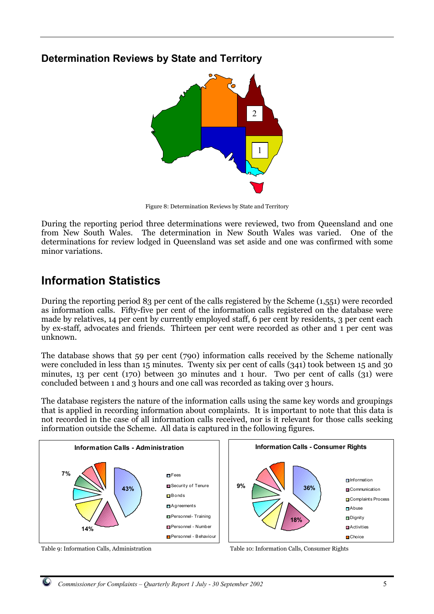### **Determination Reviews by State and Territory**



Figure 8: Determination Reviews by State and Territory

During the reporting period three determinations were reviewed, two from Queensland and one from New South Wales. The determination in New South Wales was varied. One of the determinations for review lodged in Queensland was set aside and one was confirmed with some minor variations.

# **Information Statistics**

During the reporting period 83 per cent of the calls registered by the Scheme (1,551) were recorded as information calls. Fifty-five per cent of the information calls registered on the database were made by relatives, 14 per cent by currently employed staff, 6 per cent by residents, 3 per cent each by ex-staff, advocates and friends. Thirteen per cent were recorded as other and 1 per cent was unknown.

The database shows that 59 per cent (790) information calls received by the Scheme nationally were concluded in less than 15 minutes. Twenty six per cent of calls (341) took between 15 and 30 minutes, 13 per cent (170) between 30 minutes and 1 hour. Two per cent of calls (31) were concluded between 1 and 3 hours and one call was recorded as taking over 3 hours.

The database registers the nature of the information calls using the same key words and groupings that is applied in recording information about complaints. It is important to note that this data is not recorded in the case of all information calls received, nor is it relevant for those calls seeking information outside the Scheme. All data is captured in the following figures.





Table 9: Information Calls, Administration Table 10: Information Calls, Consumer Rights